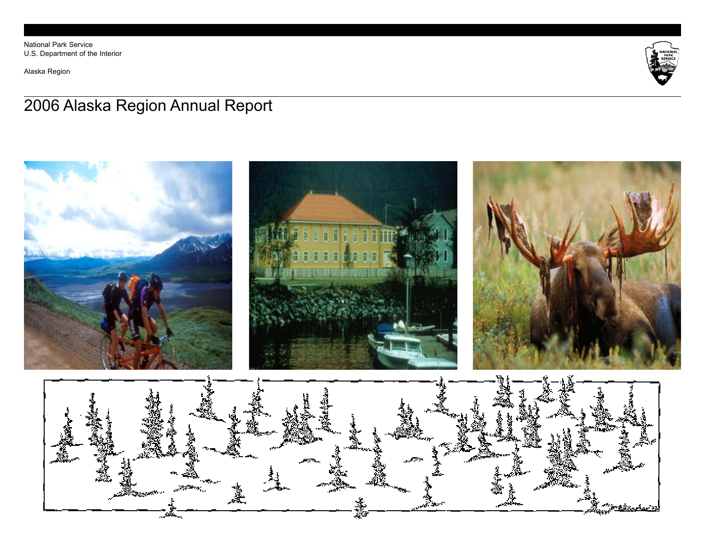National Park Service U.S. Department of the Interior

Alaska Region



# 2006 Alaska Region Annual Report

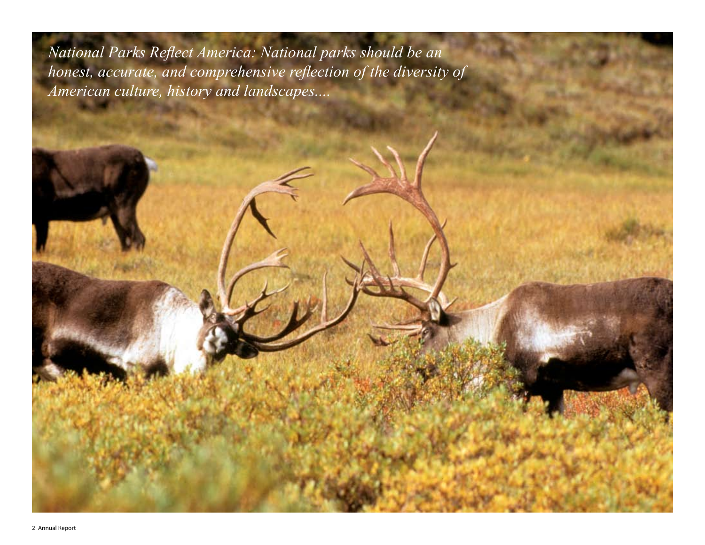*National Parks Reflect America: National parks should be an honest, accurate, and comprehensive reflection of the diversity of American culture, history and landscapes....*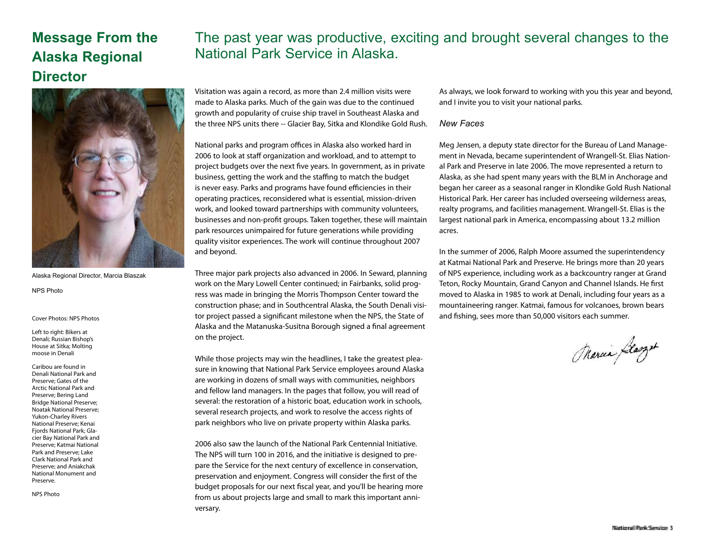## **Message From the Alaska Regional Director**

### The past year was productive, exciting and brought several changes to the National Park Service in Alaska.



Alaska Regional Director, Marcia Blaszak

NPS Photo

### Left to right: Bikers at Denali; Russian Bishop's House at Sitka; Molting moose in Denali

Caribou are found in Denali National Park and Preserve; Gates of the Arctic National Park and Preserve; Bering Land Bridge National Preserve; Noatak National Preserve; Yukon-Charley Rivers National Preserve; Kenai Fjords National Park; Glacier Bay National Park and Preserve; Katmai National Park and Preserve; Lake Clark National Park and Preserve; and Aniakchak National Monument and Preserve.

NPS Photo

Visitation was again a record, as more than 2.4 million visits were made to Alaska parks. Much of the gain was due to the continued growth and popularity of cruise ship travel in Southeast Alaska and the three NPS units there -- Glacier Bay, Sitka and Klondike Gold Rush.

National parks and program offices in Alaska also worked hard in 2006 to look at staff organization and workload, and to attempt to project budgets over the next five years. In government, as in private business, getting the work and the staffing to match the budget is never easy. Parks and programs have found efficiencies in their operating practices, reconsidered what is essential, mission-driven work, and looked toward partnerships with community volunteers, businesses and non-profit groups. Taken together, these will maintain park resources unimpaired for future generations while providing quality visitor experiences. The work will continue throughout 2007 and beyond.

Three major park projects also advanced in 2006. In Seward, planning work on the Mary Lowell Center continued; in Fairbanks, solid progress was made in bringing the Morris Thompson Center toward the construction phase; and in Southcentral Alaska, the South Denali visi-Cover Photos: NPS Photos **notices and State of the State of** and fishing, sees more than 50,000 visitors each summer. Alaska and the Matanuska-Susitna Borough signed a final agreement on the project.

> While those projects may win the headlines, I take the greatest pleasure in knowing that National Park Service employees around Alaska are working in dozens of small ways with communities, neighbors and fellow land managers. In the pages that follow, you will read of several: the restoration of a historic boat, education work in schools, several research projects, and work to resolve the access rights of park neighbors who live on private property within Alaska parks.

> 2006 also saw the launch of the National Park Centennial Initiative. The NPS will turn 100 in 2016, and the initiative is designed to prepare the Service for the next century of excellence in conservation, preservation and enjoyment. Congress will consider the first of the budget proposals for our next fiscal year, and you'll be hearing more from us about projects large and small to mark this important anniversary.

As always, we look forward to working with you this year and beyond, and I invite you to visit your national parks.

### *New Faces*

Meg Jensen, a deputy state director for the Bureau of Land Management in Nevada, became superintendent of Wrangell-St. Elias National Park and Preserve in late 2006. The move represented a return to Alaska, as she had spent many years with the BLM in Anchorage and began her career as a seasonal ranger in Klondike Gold Rush National Historical Park. Her career has included overseeing wilderness areas, realty programs, and facilities management. Wrangell-St. Elias is the largest national park in America, encompassing about 13.2 million acres.

In the summer of 2006, Ralph Moore assumed the superintendency at Katmai National Park and Preserve. He brings more than 20 years of NPS experience, including work as a backcountry ranger at Grand Teton, Rocky Mountain, Grand Canyon and Channel Islands. He first moved to Alaska in 1985 to work at Denali, including four years as a mountaineering ranger. Katmai, famous for volcanoes, brown bears

Marcia Glasget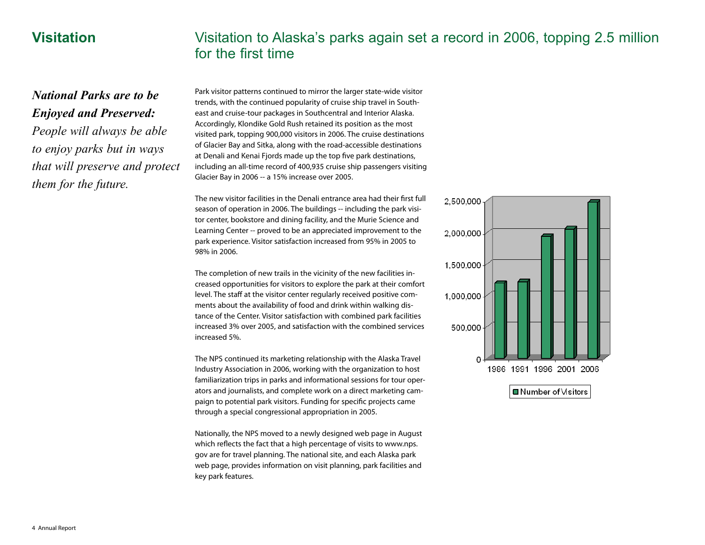### **Visitation**

## Visitation to Alaska's parks again set a record in 2006, topping 2.5 million for the first time

### *National Parks are to be Enjoyed and Preserved:*

*People will always be able to enjoy parks but in ways that will preserve and protect them for the future.*

Park visitor patterns continued to mirror the larger state-wide visitor trends, with the continued popularity of cruise ship travel in Southeast and cruise-tour packages in Southcentral and Interior Alaska. Accordingly, Klondike Gold Rush retained its position as the most visited park, topping 900,000 visitors in 2006. The cruise destinations of Glacier Bay and Sitka, along with the road-accessible destinations at Denali and Kenai Fjords made up the top five park destinations, including an all-time record of 400,935 cruise ship passengers visiting Glacier Bay in 2006 -- a 15% increase over 2005.

The new visitor facilities in the Denali entrance area had their first full season of operation in 2006. The buildings -- including the park visitor center, bookstore and dining facility, and the Murie Science and Learning Center -- proved to be an appreciated improvement to the park experience. Visitor satisfaction increased from 95% in 2005 to 98% in 2006.

The completion of new trails in the vicinity of the new facilities increased opportunities for visitors to explore the park at their comfort level. The staff at the visitor center regularly received positive comments about the availability of food and drink within walking distance of the Center. Visitor satisfaction with combined park facilities increased 3% over 2005, and satisfaction with the combined services increased 5%.

The NPS continued its marketing relationship with the Alaska Travel Industry Association in 2006, working with the organization to host familiarization trips in parks and informational sessions for tour operators and journalists, and complete work on a direct marketing campaign to potential park visitors. Funding for specific projects came through a special congressional appropriation in 2005.

Nationally, the NPS moved to a newly designed web page in August which reflects the fact that a high percentage of visits to www.nps. gov are for travel planning. The national site, and each Alaska park web page, provides information on visit planning, park facilities and key park features.

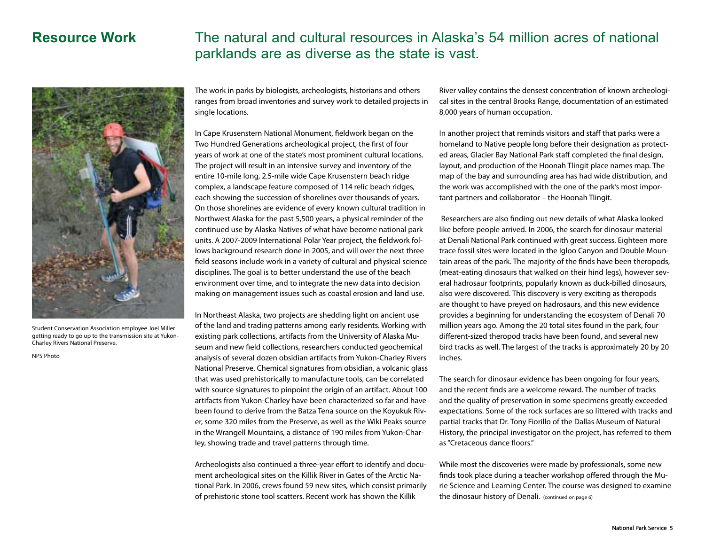### **Resource Work** The natural and cultural resources in Alaska's 54 million acres of national parklands are as diverse as the state is vast.



Student Conservation Association employee Joel Miller getting ready to go up to the transmission site at Yukon-Charley Rivers National Preserve.

NPS Photo

The work in parks by biologists, archeologists, historians and others ranges from broad inventories and survey work to detailed projects in single locations.

In Cape Krusenstern National Monument, fieldwork began on the Two Hundred Generations archeological project, the first of four years of work at one of the state's most prominent cultural locations. The project will result in an intensive survey and inventory of the entire 10-mile long, 2.5-mile wide Cape Krusenstern beach ridge complex, a landscape feature composed of 114 relic beach ridges, each showing the succession of shorelines over thousands of years. On those shorelines are evidence of every known cultural tradition in Northwest Alaska for the past 5,500 years, a physical reminder of the continued use by Alaska Natives of what have become national park units. A 2007-2009 International Polar Year project, the fieldwork follows background research done in 2005, and will over the next three field seasons include work in a variety of cultural and physical science disciplines. The goal is to better understand the use of the beach environment over time, and to integrate the new data into decision making on management issues such as coastal erosion and land use.

In Northeast Alaska, two projects are shedding light on ancient use of the land and trading patterns among early residents. Working with existing park collections, artifacts from the University of Alaska Museum and new field collections, researchers conducted geochemical analysis of several dozen obsidian artifacts from Yukon-Charley Rivers National Preserve. Chemical signatures from obsidian, a volcanic glass that was used prehistorically to manufacture tools, can be correlated with source signatures to pinpoint the origin of an artifact. About 100 artifacts from Yukon-Charley have been characterized so far and have been found to derive from the Batza Tena source on the Koyukuk River, some 320 miles from the Preserve, as well as the Wiki Peaks source in the Wrangell Mountains, a distance of 190 miles from Yukon-Charley, showing trade and travel patterns through time.

Archeologists also continued a three-year effort to identify and document archeological sites on the Killik River in Gates of the Arctic National Park. In 2006, crews found 59 new sites, which consist primarily of prehistoric stone tool scatters. Recent work has shown the Killik

River valley contains the densest concentration of known archeological sites in the central Brooks Range, documentation of an estimated 8,000 years of human occupation.

In another project that reminds visitors and staff that parks were a homeland to Native people long before their designation as protected areas, Glacier Bay National Park staff completed the final design, layout, and production of the Hoonah Tlingit place names map. The map of the bay and surrounding area has had wide distribution, and the work was accomplished with the one of the park's most important partners and collaborator – the Hoonah Tlingit.

Researchers are also finding out new details of what Alaska looked like before people arrived. In 2006, the search for dinosaur material at Denali National Park continued with great success. Eighteen more trace fossil sites were located in the Igloo Canyon and Double Mountain areas of the park. The majority of the finds have been theropods, (meat-eating dinosaurs that walked on their hind legs), however several hadrosaur footprints, popularly known as duck-billed dinosaurs, also were discovered. This discovery is very exciting as theropods are thought to have preyed on hadrosaurs, and this new evidence provides a beginning for understanding the ecosystem of Denali 70 million years ago. Among the 20 total sites found in the park, four different-sized theropod tracks have been found, and several new bird tracks as well. The largest of the tracks is approximately 20 by 20 inches.

The search for dinosaur evidence has been ongoing for four years, and the recent finds are a welcome reward. The number of tracks and the quality of preservation in some specimens greatly exceeded expectations. Some of the rock surfaces are so littered with tracks and partial tracks that Dr. Tony Fiorillo of the Dallas Museum of Natural History, the principal investigator on the project, has referred to them as "Cretaceous dance floors."

While most the discoveries were made by professionals, some new finds took place during a teacher workshop offered through the Murie Science and Learning Center. The course was designed to examine the dinosaur history of Denali. (continued on page 6)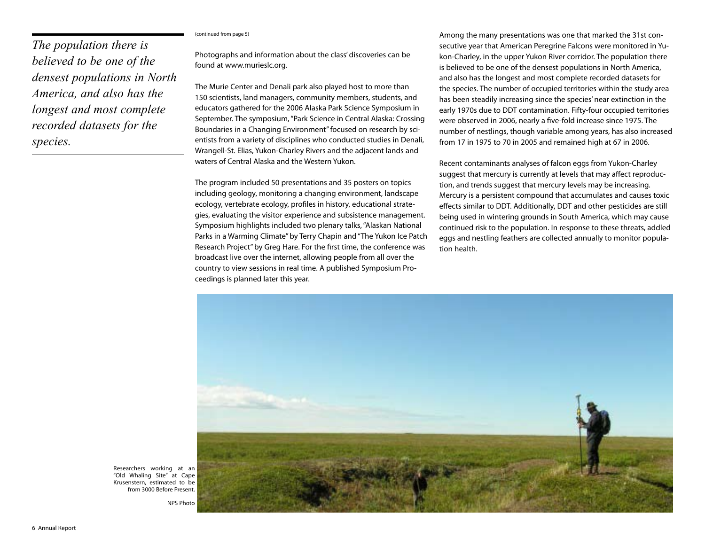### (continued from page 5)

*The population there is believed to be one of the densest populations in North America, and also has the longest and most complete recorded datasets for the species.*

Photographs and information about the class' discoveries can be found at www.murieslc.org.

The Murie Center and Denali park also played host to more than 150 scientists, land managers, community members, students, and educators gathered for the 2006 Alaska Park Science Symposium in September. The symposium, "Park Science in Central Alaska: Crossing Boundaries in a Changing Environment" focused on research by scientists from a variety of disciplines who conducted studies in Denali, Wrangell-St. Elias, Yukon-Charley Rivers and the adjacent lands and waters of Central Alaska and the Western Yukon.

The program included 50 presentations and 35 posters on topics including geology, monitoring a changing environment, landscape ecology, vertebrate ecology, profiles in history, educational strategies, evaluating the visitor experience and subsistence management. Symposium highlights included two plenary talks, "Alaskan National Parks in a Warming Climate" by Terry Chapin and "The Yukon Ice Patch Research Project" by Greg Hare. For the first time, the conference was broadcast live over the internet, allowing people from all over the country to view sessions in real time. A published Symposium Proceedings is planned later this year.

Among the many presentations was one that marked the 31st consecutive year that American Peregrine Falcons were monitored in Yukon-Charley, in the upper Yukon River corridor. The population there is believed to be one of the densest populations in North America, and also has the longest and most complete recorded datasets for the species. The number of occupied territories within the study area has been steadily increasing since the species' near extinction in the early 1970s due to DDT contamination. Fifty-four occupied territories were observed in 2006, nearly a five-fold increase since 1975. The number of nestlings, though variable among years, has also increased from 17 in 1975 to 70 in 2005 and remained high at 67 in 2006.

Recent contaminants analyses of falcon eggs from Yukon-Charley suggest that mercury is currently at levels that may affect reproduction, and trends suggest that mercury levels may be increasing. Mercury is a persistent compound that accumulates and causes toxic effects similar to DDT. Additionally, DDT and other pesticides are still being used in wintering grounds in South America, which may cause continued risk to the population. In response to these threats, addled eggs and nestling feathers are collected annually to monitor population health.



Researchers working at an "Old Whaling Site" at Cape Krusenstern, estimated to be from 3000 Before Present.

NPS Photo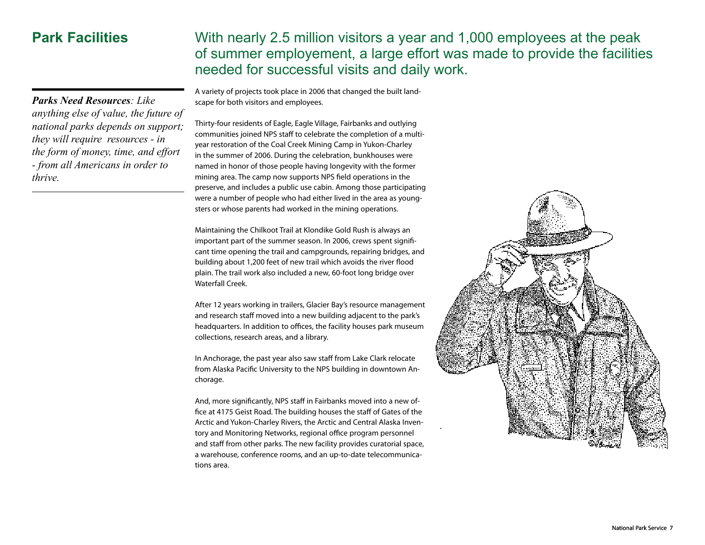*Parks Need Resources: Like anything else of value, the future of national parks depends on support; they will require resources - in the form of money, time, and effort - from all Americans in order to thrive.*

### **Park Facilities** With nearly 2.5 million visitors a year and 1,000 employees at the peak of summer employement, a large effort was made to provide the facilities needed for successful visits and daily work.

A variety of projects took place in 2006 that changed the built landscape for both visitors and employees.

Thirty-four residents of Eagle, Eagle Village, Fairbanks and outlying communities joined NPS staff to celebrate the completion of a multiyear restoration of the Coal Creek Mining Camp in Yukon-Charley in the summer of 2006. During the celebration, bunkhouses were named in honor of those people having longevity with the former mining area. The camp now supports NPS field operations in the preserve, and includes a public use cabin. Among those participating were a number of people who had either lived in the area as youngsters or whose parents had worked in the mining operations.

Maintaining the Chilkoot Trail at Klondike Gold Rush is always an important part of the summer season. In 2006, crews spent significant time opening the trail and campgrounds, repairing bridges, and building about 1,200 feet of new trail which avoids the river flood plain. The trail work also included a new, 60-foot long bridge over Waterfall Creek.

After 12 years working in trailers, Glacier Bay's resource management and research staff moved into a new building adjacent to the park's headquarters. In addition to offices, the facility houses park museum collections, research areas, and a library.

In Anchorage, the past year also saw staff from Lake Clark relocate from Alaska Pacific University to the NPS building in downtown Anchorage.

And, more significantly, NPS staff in Fairbanks moved into a new office at 4175 Geist Road. The building houses the staff of Gates of the Arctic and Yukon-Charley Rivers, the Arctic and Central Alaska Inventory and Monitoring Networks, regional office program personnel and staff from other parks. The new facility provides curatorial space, a warehouse, conference rooms, and an up-to-date telecommunications area.

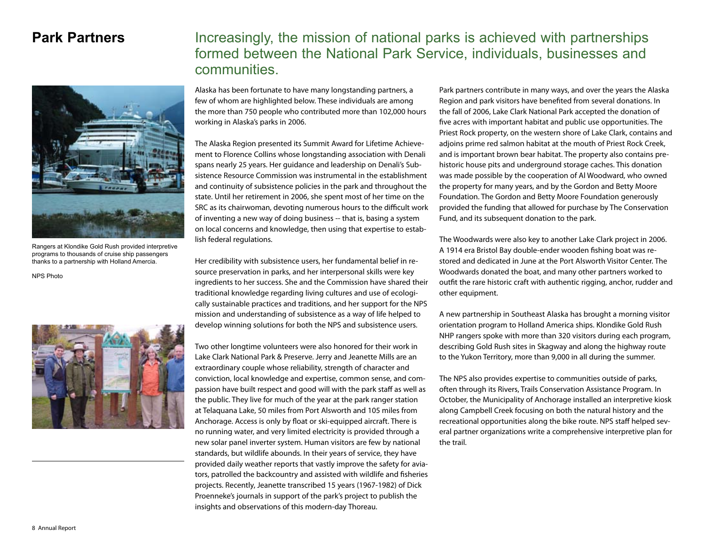

Rangers at Klondike Gold Rush provided interpretive programs to thousands of cruise ship passengers thanks to a partnership with Holland Amercia.

NPS Photo



### **Park Partners** Increasingly, the mission of national parks is achieved with partnerships formed between the National Park Service, individuals, businesses and communities.

Alaska has been fortunate to have many longstanding partners, a few of whom are highlighted below. These individuals are among the more than 750 people who contributed more than 102,000 hours working in Alaska's parks in 2006.

The Alaska Region presented its Summit Award for Lifetime Achievement to Florence Collins whose longstanding association with Denali spans nearly 25 years. Her guidance and leadership on Denali's Subsistence Resource Commission was instrumental in the establishment and continuity of subsistence policies in the park and throughout the state. Until her retirement in 2006, she spent most of her time on the SRC as its chairwoman, devoting numerous hours to the difficult work of inventing a new way of doing business -- that is, basing a system on local concerns and knowledge, then using that expertise to establish federal regulations.

Her credibility with subsistence users, her fundamental belief in resource preservation in parks, and her interpersonal skills were key ingredients to her success. She and the Commission have shared their traditional knowledge regarding living cultures and use of ecologically sustainable practices and traditions, and her support for the NPS mission and understanding of subsistence as a way of life helped to develop winning solutions for both the NPS and subsistence users.

Two other longtime volunteers were also honored for their work in Lake Clark National Park & Preserve. Jerry and Jeanette Mills are an extraordinary couple whose reliability, strength of character and conviction, local knowledge and expertise, common sense, and compassion have built respect and good will with the park staff as well as the public. They live for much of the year at the park ranger station at Telaquana Lake, 50 miles from Port Alsworth and 105 miles from Anchorage. Access is only by float or ski-equipped aircraft. There is no running water, and very limited electricity is provided through a new solar panel inverter system. Human visitors are few by national standards, but wildlife abounds. In their years of service, they have provided daily weather reports that vastly improve the safety for aviators, patrolled the backcountry and assisted with wildlife and fisheries projects. Recently, Jeanette transcribed 15 years (1967-1982) of Dick Proenneke's journals in support of the park's project to publish the insights and observations of this modern-day Thoreau.

Park partners contribute in many ways, and over the years the Alaska Region and park visitors have benefited from several donations. In the fall of 2006, Lake Clark National Park accepted the donation of five acres with important habitat and public use opportunities. The Priest Rock property, on the western shore of Lake Clark, contains and adjoins prime red salmon habitat at the mouth of Priest Rock Creek, and is important brown bear habitat. The property also contains prehistoric house pits and underground storage caches. This donation was made possible by the cooperation of Al Woodward, who owned the property for many years, and by the Gordon and Betty Moore Foundation. The Gordon and Betty Moore Foundation generously provided the funding that allowed for purchase by The Conservation Fund, and its subsequent donation to the park.

The Woodwards were also key to another Lake Clark project in 2006. A 1914 era Bristol Bay double-ender wooden fishing boat was restored and dedicated in June at the Port Alsworth Visitor Center. The Woodwards donated the boat, and many other partners worked to outfit the rare historic craft with authentic rigging, anchor, rudder and other equipment.

A new partnership in Southeast Alaska has brought a morning visitor orientation program to Holland America ships. Klondike Gold Rush NHP rangers spoke with more than 320 visitors during each program, describing Gold Rush sites in Skagway and along the highway route to the Yukon Territory, more than 9,000 in all during the summer.

The NPS also provides expertise to communities outside of parks, often through its Rivers, Trails Conservation Assistance Program. In October, the Municipality of Anchorage installed an interpretive kiosk along Campbell Creek focusing on both the natural history and the recreational opportunities along the bike route. NPS staff helped several partner organizations write a comprehensive interpretive plan for the trail.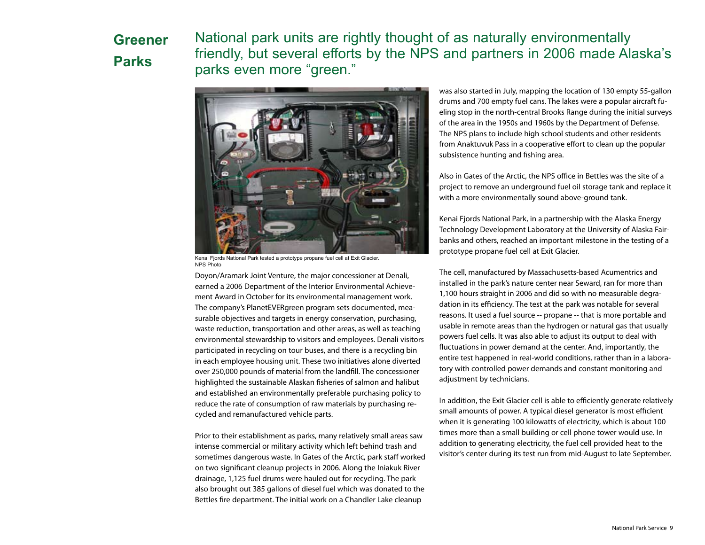# **Greener Parks**

National park units are rightly thought of as naturally environmentally friendly, but several efforts by the NPS and partners in 2006 made Alaska's parks even more "green."



Kenai Fjords National Park tested a prototype propane fuel cell at Exit Glacier. NPS Photo

Doyon/Aramark Joint Venture, the major concessioner at Denali, earned a 2006 Department of the Interior Environmental Achievement Award in October for its environmental management work. The company's PlanetEVERgreen program sets documented, measurable objectives and targets in energy conservation, purchasing, waste reduction, transportation and other areas, as well as teaching environmental stewardship to visitors and employees. Denali visitors participated in recycling on tour buses, and there is a recycling bin in each employee housing unit. These two initiatives alone diverted over 250,000 pounds of material from the landfill. The concessioner highlighted the sustainable Alaskan fisheries of salmon and halibut and established an environmentally preferable purchasing policy to reduce the rate of consumption of raw materials by purchasing recycled and remanufactured vehicle parts.

Prior to their establishment as parks, many relatively small areas saw intense commercial or military activity which left behind trash and sometimes dangerous waste. In Gates of the Arctic, park staff worked on two significant cleanup projects in 2006. Along the Iniakuk River drainage, 1,125 fuel drums were hauled out for recycling. The park also brought out 385 gallons of diesel fuel which was donated to the Bettles fire department. The initial work on a Chandler Lake cleanup

was also started in July, mapping the location of 130 empty 55-gallon drums and 700 empty fuel cans. The lakes were a popular aircraft fueling stop in the north-central Brooks Range during the initial surveys of the area in the 1950s and 1960s by the Department of Defense. The NPS plans to include high school students and other residents from Anaktuvuk Pass in a cooperative effort to clean up the popular subsistence hunting and fishing area.

Also in Gates of the Arctic, the NPS office in Bettles was the site of a project to remove an underground fuel oil storage tank and replace it with a more environmentally sound above-ground tank.

Kenai Fjords National Park, in a partnership with the Alaska Energy Technology Development Laboratory at the University of Alaska Fairbanks and others, reached an important milestone in the testing of a prototype propane fuel cell at Exit Glacier.

The cell, manufactured by Massachusetts-based Acumentrics and installed in the park's nature center near Seward, ran for more than 1,100 hours straight in 2006 and did so with no measurable degradation in its efficiency. The test at the park was notable for several reasons. It used a fuel source -- propane -- that is more portable and usable in remote areas than the hydrogen or natural gas that usually powers fuel cells. It was also able to adjust its output to deal with fluctuations in power demand at the center. And, importantly, the entire test happened in real-world conditions, rather than in a laboratory with controlled power demands and constant monitoring and adjustment by technicians.

In addition, the Exit Glacier cell is able to efficiently generate relatively small amounts of power. A typical diesel generator is most efficient when it is generating 100 kilowatts of electricity, which is about 100 times more than a small building or cell phone tower would use. In addition to generating electricity, the fuel cell provided heat to the visitor's center during its test run from mid-August to late September.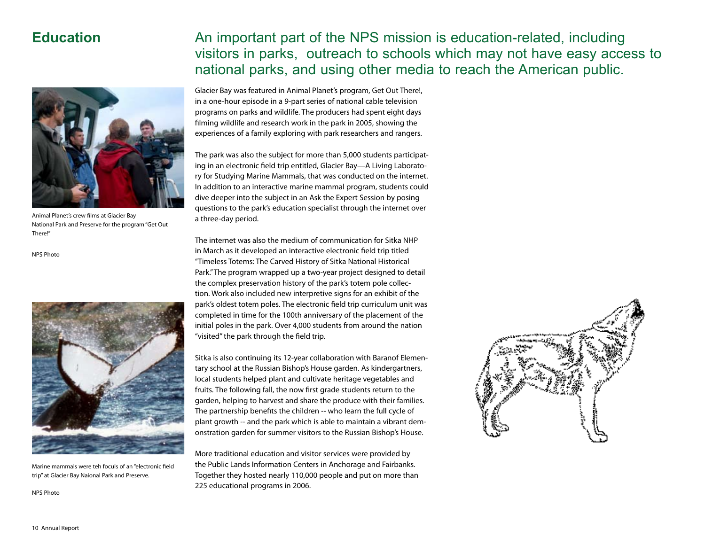### **Education**



Animal Planet's crew films at Glacier Bay National Park and Preserve for the program "Get Out There!"

NPS Photo



Marine mammals were teh foculs of an "electronic field trip" at Glacier Bay Naional Park and Preserve.

NPS Photo

### An important part of the NPS mission is education-related, including visitors in parks, outreach to schools which may not have easy access to national parks, and using other media to reach the American public.

Glacier Bay was featured in Animal Planet's program, Get Out There!, in a one-hour episode in a 9-part series of national cable television programs on parks and wildlife. The producers had spent eight days filming wildlife and research work in the park in 2005, showing the experiences of a family exploring with park researchers and rangers.

The park was also the subject for more than 5,000 students participating in an electronic field trip entitled, Glacier Bay—A Living Laboratory for Studying Marine Mammals, that was conducted on the internet. In addition to an interactive marine mammal program, students could dive deeper into the subject in an Ask the Expert Session by posing questions to the park's education specialist through the internet over a three-day period.

The internet was also the medium of communication for Sitka NHP in March as it developed an interactive electronic field trip titled "Timeless Totems: The Carved History of Sitka National Historical Park." The program wrapped up a two-year project designed to detail the complex preservation history of the park's totem pole collection. Work also included new interpretive signs for an exhibit of the park's oldest totem poles. The electronic field trip curriculum unit was completed in time for the 100th anniversary of the placement of the initial poles in the park. Over 4,000 students from around the nation "visited" the park through the field trip.

Sitka is also continuing its 12-year collaboration with Baranof Elementary school at the Russian Bishop's House garden. As kindergartners, local students helped plant and cultivate heritage vegetables and fruits. The following fall, the now first grade students return to the garden, helping to harvest and share the produce with their families. The partnership benefits the children -- who learn the full cycle of plant growth -- and the park which is able to maintain a vibrant demonstration garden for summer visitors to the Russian Bishop's House.

More traditional education and visitor services were provided by the Public Lands Information Centers in Anchorage and Fairbanks. Together they hosted nearly 110,000 people and put on more than 225 educational programs in 2006.

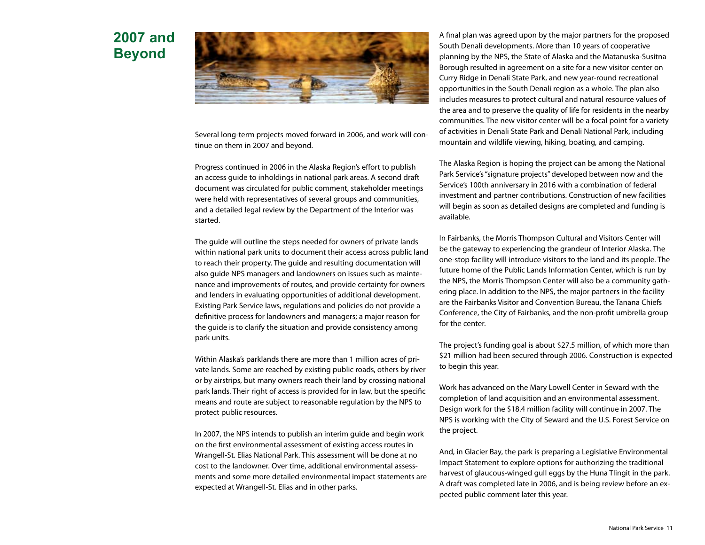## **2007 and Beyond**



Several long-term projects moved forward in 2006, and work will continue on them in 2007 and beyond.

Progress continued in 2006 in the Alaska Region's effort to publish an access guide to inholdings in national park areas. A second draft document was circulated for public comment, stakeholder meetings were held with representatives of several groups and communities, and a detailed legal review by the Department of the Interior was started.

The guide will outline the steps needed for owners of private lands within national park units to document their access across public land to reach their property. The guide and resulting documentation will also guide NPS managers and landowners on issues such as maintenance and improvements of routes, and provide certainty for owners and lenders in evaluating opportunities of additional development. Existing Park Service laws, regulations and policies do not provide a definitive process for landowners and managers; a major reason for the guide is to clarify the situation and provide consistency among park units.

Within Alaska's parklands there are more than 1 million acres of private lands. Some are reached by existing public roads, others by river or by airstrips, but many owners reach their land by crossing national park lands. Their right of access is provided for in law, but the specific means and route are subject to reasonable regulation by the NPS to protect public resources.

In 2007, the NPS intends to publish an interim guide and begin work on the first environmental assessment of existing access routes in Wrangell-St. Elias National Park. This assessment will be done at no cost to the landowner. Over time, additional environmental assessments and some more detailed environmental impact statements are expected at Wrangell-St. Elias and in other parks.

A final plan was agreed upon by the major partners for the proposed South Denali developments. More than 10 years of cooperative planning by the NPS, the State of Alaska and the Matanuska-Susitna Borough resulted in agreement on a site for a new visitor center on Curry Ridge in Denali State Park, and new year-round recreational opportunities in the South Denali region as a whole. The plan also includes measures to protect cultural and natural resource values of the area and to preserve the quality of life for residents in the nearby communities. The new visitor center will be a focal point for a variety of activities in Denali State Park and Denali National Park, including mountain and wildlife viewing, hiking, boating, and camping.

The Alaska Region is hoping the project can be among the National Park Service's "signature projects" developed between now and the Service's 100th anniversary in 2016 with a combination of federal investment and partner contributions. Construction of new facilities will begin as soon as detailed designs are completed and funding is available.

In Fairbanks, the Morris Thompson Cultural and Visitors Center will be the gateway to experiencing the grandeur of Interior Alaska. The one-stop facility will introduce visitors to the land and its people. The future home of the Public Lands Information Center, which is run by the NPS, the Morris Thompson Center will also be a community gathering place. In addition to the NPS, the major partners in the facility are the Fairbanks Visitor and Convention Bureau, the Tanana Chiefs Conference, the City of Fairbanks, and the non-profit umbrella group for the center.

The project's funding goal is about \$27.5 million, of which more than \$21 million had been secured through 2006. Construction is expected to begin this year.

Work has advanced on the Mary Lowell Center in Seward with the completion of land acquisition and an environmental assessment. Design work for the \$18.4 million facility will continue in 2007. The NPS is working with the City of Seward and the U.S. Forest Service on the project.

And, in Glacier Bay, the park is preparing a Legislative Environmental Impact Statement to explore options for authorizing the traditional harvest of glaucous-winged gull eggs by the Huna Tlingit in the park. A draft was completed late in 2006, and is being review before an expected public comment later this year.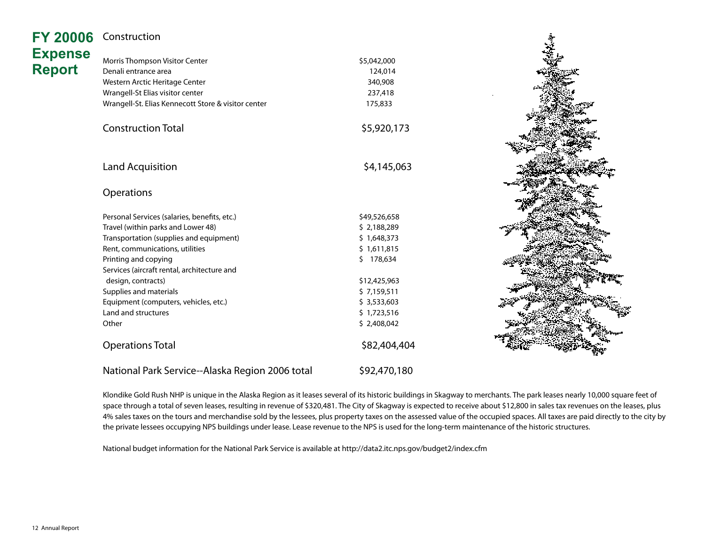| <b>FY 20006</b> | Construction                                        |              |  |
|-----------------|-----------------------------------------------------|--------------|--|
| <b>Expense</b>  | Morris Thompson Visitor Center                      | \$5,042,000  |  |
| <b>Report</b>   | Denali entrance area                                | 124,014      |  |
|                 | Western Arctic Heritage Center                      | 340,908      |  |
|                 | Wrangell-St Elias visitor center                    | 237,418      |  |
|                 | Wrangell-St. Elias Kennecott Store & visitor center |              |  |
|                 |                                                     | 175,833      |  |
|                 | <b>Construction Total</b>                           | \$5,920,173  |  |
|                 |                                                     |              |  |
|                 | Land Acquisition                                    | \$4,145,063  |  |
|                 | Operations                                          |              |  |
|                 |                                                     |              |  |
|                 | Personal Services (salaries, benefits, etc.)        | \$49,526,658 |  |
|                 | Travel (within parks and Lower 48)                  | \$2,188,289  |  |
|                 | Transportation (supplies and equipment)             | \$1,648,373  |  |
|                 | Rent, communications, utilities                     | \$1,611,815  |  |
|                 | Printing and copying                                | \$178,634    |  |
|                 | Services (aircraft rental, architecture and         |              |  |
|                 | design, contracts)                                  | \$12,425,963 |  |
|                 | Supplies and materials                              | \$7,159,511  |  |
|                 | Equipment (computers, vehicles, etc.)               | \$3,533,603  |  |
|                 | Land and structures                                 | \$1,723,516  |  |
|                 | Other                                               | \$2,408,042  |  |
|                 | <b>Operations Total</b>                             | \$82,404,404 |  |
|                 | National Park Service--Alaska Region 2006 total     | \$92,470,180 |  |

Klondike Gold Rush NHP is unique in the Alaska Region as it leases several of its historic buildings in Skagway to merchants. The park leases nearly 10,000 square feet of space through a total of seven leases, resulting in revenue of \$320,481. The City of Skagway is expected to receive about \$12,800 in sales tax revenues on the leases, plus 4% sales taxes on the tours and merchandise sold by the lessees, plus property taxes on the assessed value of the occupied spaces. All taxes are paid directly to the city by the private lessees occupying NPS buildings under lease. Lease revenue to the NPS is used for the long-term maintenance of the historic structures.

National budget information for the National Park Service is available at http://data2.itc.nps.gov/budget2/index.cfm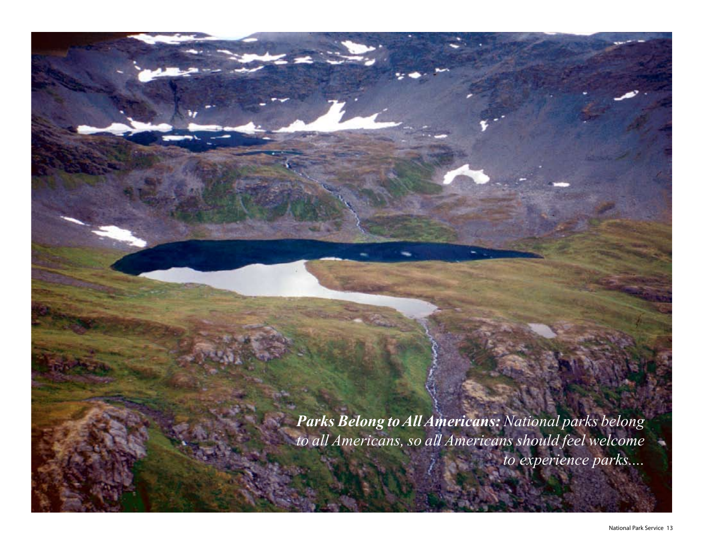*Parks Belong to All Americans: National parks belong to all Americans, so all Americans should feel welcome to experience parks....*